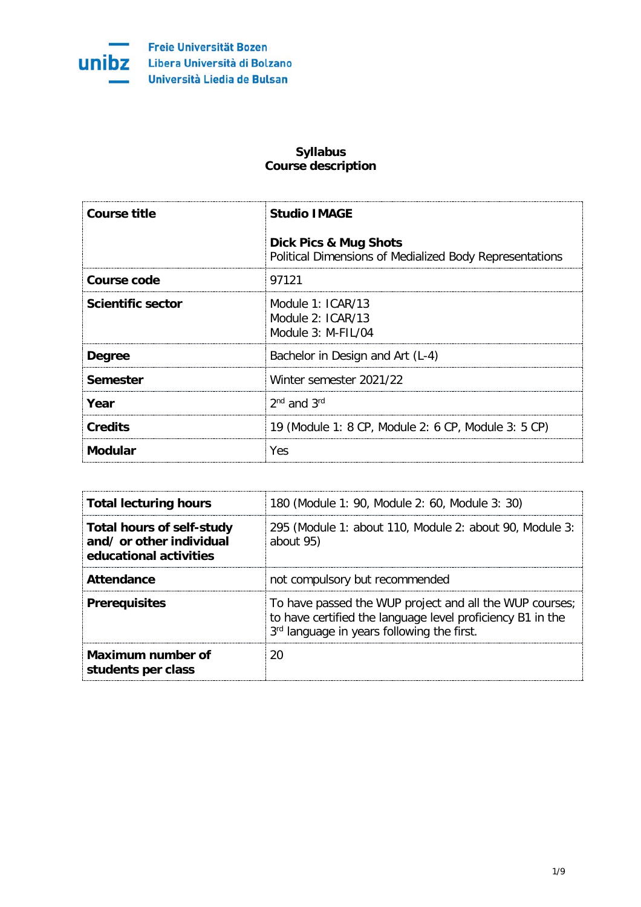

## **Syllabus Course description**

| Course title             | <b>Studio IMAGE</b>                                                                         |
|--------------------------|---------------------------------------------------------------------------------------------|
|                          | <b>Dick Pics &amp; Mug Shots</b><br>Political Dimensions of Medialized Body Representations |
| Course code              | 97121                                                                                       |
| <b>Scientific sector</b> | Module 1: ICAR/13<br>Module $2:ICAR/13$<br>Module 3: M-FIL/04                               |
| <b>Degree</b>            | Bachelor in Design and Art (L-4)                                                            |
| Semester                 | Winter semester 2021/22                                                                     |
| Year                     | $2nd$ and $3rd$                                                                             |
| <b>Credits</b>           | 19 (Module 1: 8 CP, Module 2: 6 CP, Module 3: 5 CP)                                         |
| <b>Modular</b>           | Yes                                                                                         |

| <b>Total lecturing hours</b>                                                           | 180 (Module 1: 90, Module 2: 60, Module 3: 30)                                                                                                                      |
|----------------------------------------------------------------------------------------|---------------------------------------------------------------------------------------------------------------------------------------------------------------------|
| <b>Total hours of self-study</b><br>and/ or other individual<br>educational activities | 295 (Module 1: about 110, Module 2: about 90, Module 3:<br>about 95)                                                                                                |
| <b>Attendance</b>                                                                      | not compulsory but recommended                                                                                                                                      |
| <b>Prerequisites</b>                                                                   | To have passed the WUP project and all the WUP courses;<br>to have certified the language level proficiency B1 in the<br>3rd language in years following the first. |
| Maximum number of<br>students per class                                                | ንበ                                                                                                                                                                  |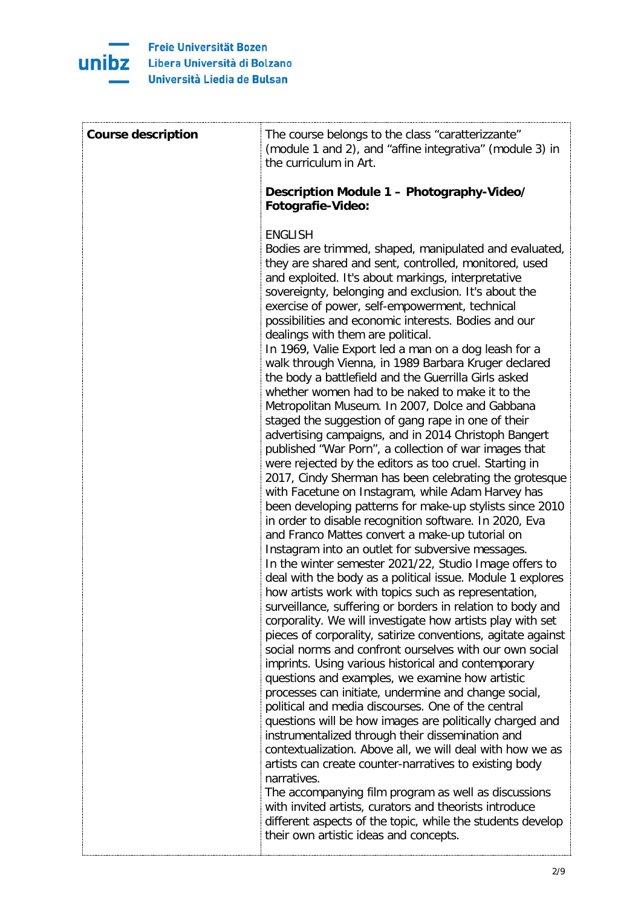

| <b>Course description</b> | The course belongs to the class "caratterizzante"<br>(module 1 and 2), and "affine integrativa" (module 3) in<br>the curriculum in Art.                                                                                                                                                                                                                                                                                                                                                                                                                                                                                                                                                                                                                                                                                                                                                                                                                                                                                                                                                                                                                                                                                                                                                                                                                                                                                                                                                                                                                                                                                                                                                                                                                                                                                                                                                                                                                                                                                                                                                                                                                                                                                                                                                                                                                                                                   |
|---------------------------|-----------------------------------------------------------------------------------------------------------------------------------------------------------------------------------------------------------------------------------------------------------------------------------------------------------------------------------------------------------------------------------------------------------------------------------------------------------------------------------------------------------------------------------------------------------------------------------------------------------------------------------------------------------------------------------------------------------------------------------------------------------------------------------------------------------------------------------------------------------------------------------------------------------------------------------------------------------------------------------------------------------------------------------------------------------------------------------------------------------------------------------------------------------------------------------------------------------------------------------------------------------------------------------------------------------------------------------------------------------------------------------------------------------------------------------------------------------------------------------------------------------------------------------------------------------------------------------------------------------------------------------------------------------------------------------------------------------------------------------------------------------------------------------------------------------------------------------------------------------------------------------------------------------------------------------------------------------------------------------------------------------------------------------------------------------------------------------------------------------------------------------------------------------------------------------------------------------------------------------------------------------------------------------------------------------------------------------------------------------------------------------------------------------|
|                           | Description Module 1 - Photography-Video/<br><b>Fotografie-Video:</b>                                                                                                                                                                                                                                                                                                                                                                                                                                                                                                                                                                                                                                                                                                                                                                                                                                                                                                                                                                                                                                                                                                                                                                                                                                                                                                                                                                                                                                                                                                                                                                                                                                                                                                                                                                                                                                                                                                                                                                                                                                                                                                                                                                                                                                                                                                                                     |
|                           | <b>ENGLISH</b><br>Bodies are trimmed, shaped, manipulated and evaluated,<br>they are shared and sent, controlled, monitored, used<br>and exploited. It's about markings, interpretative<br>sovereignty, belonging and exclusion. It's about the<br>exercise of power, self-empowerment, technical<br>possibilities and economic interests. Bodies and our<br>dealings with them are political.<br>In 1969, Valie Export led a man on a dog leash for a<br>walk through Vienna, in 1989 Barbara Kruger declared<br>the body a battlefield and the Guerrilla Girls asked<br>whether women had to be naked to make it to the<br>Metropolitan Museum. In 2007, Dolce and Gabbana<br>staged the suggestion of gang rape in one of their<br>advertising campaigns, and in 2014 Christoph Bangert<br>published "War Porn", a collection of war images that<br>were rejected by the editors as too cruel. Starting in<br>2017, Cindy Sherman has been celebrating the grotesque<br>with Facetune on Instagram, while Adam Harvey has<br>been developing patterns for make-up stylists since 2010<br>in order to disable recognition software. In 2020, Eva<br>and Franco Mattes convert a make-up tutorial on<br>Instagram into an outlet for subversive messages.<br>In the winter semester 2021/22, Studio Image offers to<br>deal with the body as a political issue. Module 1 explores<br>how artists work with topics such as representation,<br>surveillance, suffering or borders in relation to body and<br>corporality. We will investigate how artists play with set<br>pieces of corporality, satirize conventions, agitate against<br>social norms and confront ourselves with our own social<br>imprints. Using various historical and contemporary<br>questions and examples, we examine how artistic<br>processes can initiate, undermine and change social,<br>political and media discourses. One of the central<br>questions will be how images are politically charged and<br>instrumentalized through their dissemination and<br>contextualization. Above all, we will deal with how we as<br>artists can create counter-narratives to existing body<br>narratives.<br>The accompanying film program as well as discussions<br>with invited artists, curators and theorists introduce<br>different aspects of the topic, while the students develop<br>their own artistic ideas and concepts. |
|                           |                                                                                                                                                                                                                                                                                                                                                                                                                                                                                                                                                                                                                                                                                                                                                                                                                                                                                                                                                                                                                                                                                                                                                                                                                                                                                                                                                                                                                                                                                                                                                                                                                                                                                                                                                                                                                                                                                                                                                                                                                                                                                                                                                                                                                                                                                                                                                                                                           |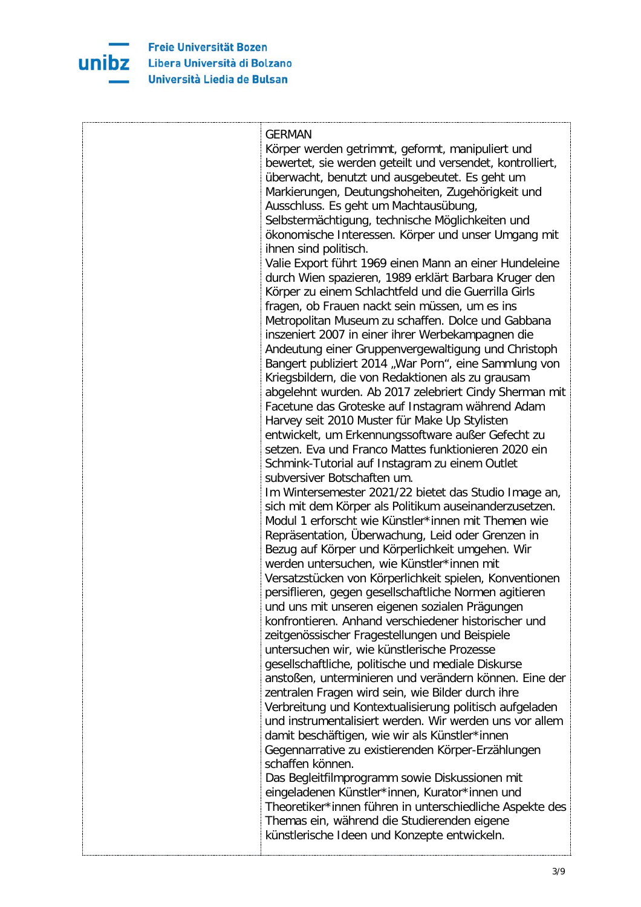

| <b>GERMAN</b>                                             |
|-----------------------------------------------------------|
| Körper werden getrimmt, geformt, manipuliert und          |
| bewertet, sie werden geteilt und versendet, kontrolliert, |
| überwacht, benutzt und ausgebeutet. Es geht um            |
| Markierungen, Deutungshoheiten, Zugehörigkeit und         |
| Ausschluss. Es geht um Machtausübung,                     |
| Selbstermächtigung, technische Möglichkeiten und          |
| ökonomische Interessen. Körper und unser Umgang mit       |
| ihnen sind politisch.                                     |
|                                                           |
| Valie Export führt 1969 einen Mann an einer Hundeleine    |
| durch Wien spazieren, 1989 erklärt Barbara Kruger den     |
| Körper zu einem Schlachtfeld und die Guerrilla Girls      |
| fragen, ob Frauen nackt sein müssen, um es ins            |
| Metropolitan Museum zu schaffen. Dolce und Gabbana        |
| inszeniert 2007 in einer ihrer Werbekampagnen die         |
| Andeutung einer Gruppenvergewaltigung und Christoph       |
| Bangert publiziert 2014 "War Porn", eine Sammlung von     |
| Kriegsbildern, die von Redaktionen als zu grausam         |
| abgelehnt wurden. Ab 2017 zelebriert Cindy Sherman mit    |
| Facetune das Groteske auf Instagram während Adam          |
| Harvey seit 2010 Muster für Make Up Stylisten             |
| entwickelt, um Erkennungssoftware außer Gefecht zu        |
| setzen. Eva und Franco Mattes funktionieren 2020 ein      |
| Schmink-Tutorial auf Instagram zu einem Outlet            |
| subversiver Botschaften um.                               |
| Im Wintersemester 2021/22 bietet das Studio Image an,     |
| sich mit dem Körper als Politikum auseinanderzusetzen.    |
| Modul 1 erforscht wie Künstler*innen mit Themen wie       |
| Repräsentation, Überwachung, Leid oder Grenzen in         |
| Bezug auf Körper und Körperlichkeit umgehen. Wir          |
| werden untersuchen, wie Künstler*innen mit                |
| Versatzstücken von Körperlichkeit spielen, Konventionen   |
| persiflieren, gegen gesellschaftliche Normen agitieren    |
| und uns mit unseren eigenen sozialen Prägungen            |
| konfrontieren. Anhand verschiedener historischer und      |
| zeitgenössischer Fragestellungen und Beispiele            |
| untersuchen wir, wie künstlerische Prozesse               |
| gesellschaftliche, politische und mediale Diskurse        |
| anstoßen, unterminieren und verändern können. Eine der    |
| zentralen Fragen wird sein, wie Bilder durch ihre         |
| Verbreitung und Kontextualisierung politisch aufgeladen   |
| und instrumentalisiert werden. Wir werden uns vor allem   |
| damit beschäftigen, wie wir als Künstler*innen            |
| Gegennarrative zu existierenden Körper-Erzählungen        |
| schaffen können.                                          |
| Das Begleitfilmprogramm sowie Diskussionen mit            |
| eingeladenen Künstler*innen, Kurator*innen und            |
| Theoretiker*innen führen in unterschiedliche Aspekte des  |
| Themas ein, während die Studierenden eigene               |
| künstlerische Ideen und Konzepte entwickeln.              |
|                                                           |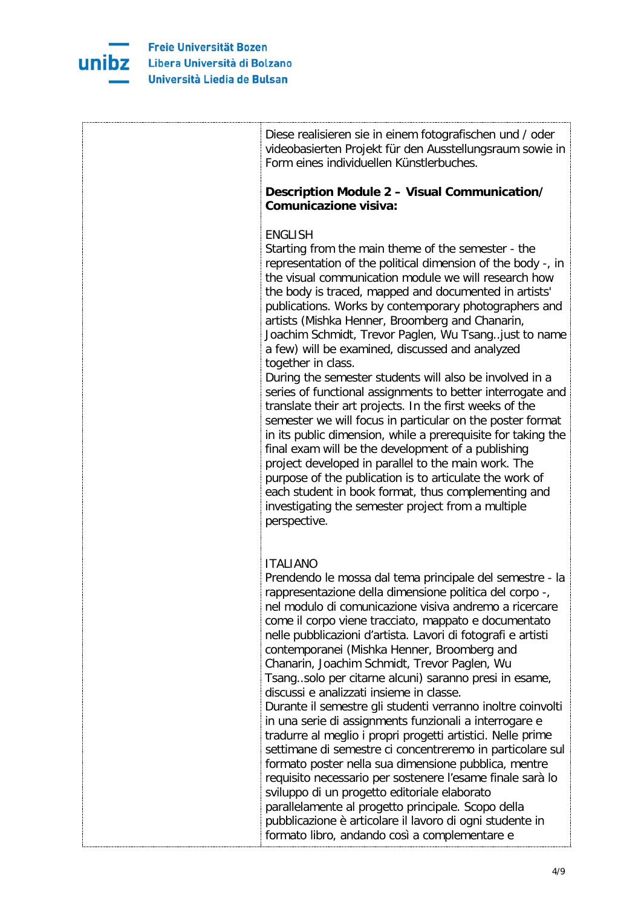

| Diese realisieren sie in einem fotografischen und / oder<br>videobasierten Projekt für den Ausstellungsraum sowie in<br>Form eines individuellen Künstlerbuches.                                                                                                                                                                                                                                                                                                                                                                                                                                                                                                                                                                                                                                                                                                                                                                                                                                                                                                                                                            |
|-----------------------------------------------------------------------------------------------------------------------------------------------------------------------------------------------------------------------------------------------------------------------------------------------------------------------------------------------------------------------------------------------------------------------------------------------------------------------------------------------------------------------------------------------------------------------------------------------------------------------------------------------------------------------------------------------------------------------------------------------------------------------------------------------------------------------------------------------------------------------------------------------------------------------------------------------------------------------------------------------------------------------------------------------------------------------------------------------------------------------------|
| Description Module 2 - Visual Communication/<br><b>Comunicazione visiva:</b>                                                                                                                                                                                                                                                                                                                                                                                                                                                                                                                                                                                                                                                                                                                                                                                                                                                                                                                                                                                                                                                |
| <b>ENGLISH</b><br>Starting from the main theme of the semester - the<br>representation of the political dimension of the body -, in<br>the visual communication module we will research how<br>the body is traced, mapped and documented in artists'<br>publications. Works by contemporary photographers and<br>artists (Mishka Henner, Broomberg and Chanarin,<br>Joachim Schmidt, Trevor Paglen, Wu Tsang. just to name<br>a few) will be examined, discussed and analyzed<br>together in class.<br>During the semester students will also be involved in a<br>series of functional assignments to better interrogate and<br>translate their art projects. In the first weeks of the<br>semester we will focus in particular on the poster format<br>in its public dimension, while a prerequisite for taking the                                                                                                                                                                                                                                                                                                        |
| final exam will be the development of a publishing<br>project developed in parallel to the main work. The<br>purpose of the publication is to articulate the work of<br>each student in book format, thus complementing and<br>investigating the semester project from a multiple<br>perspective.                                                                                                                                                                                                                                                                                                                                                                                                                                                                                                                                                                                                                                                                                                                                                                                                                           |
| <b>ITALIANO</b><br>Prendendo le mossa dal tema principale del semestre - la<br>rappresentazione della dimensione politica del corpo -,<br>nel modulo di comunicazione visiva andremo a ricercare<br>come il corpo viene tracciato, mappato e documentato<br>nelle pubblicazioni d'artista. Lavori di fotografi e artisti<br>contemporanei (Mishka Henner, Broomberg and<br>Chanarin, Joachim Schmidt, Trevor Paglen, Wu<br>Tsang. solo per citarne alcuni) saranno presi in esame,<br>discussi e analizzati insieme in classe.<br>Durante il semestre gli studenti verranno inoltre coinvolti<br>in una serie di assignments funzionali a interrogare e<br>tradurre al meglio i propri progetti artistici. Nelle prime<br>settimane di semestre ci concentreremo in particolare sul<br>formato poster nella sua dimensione pubblica, mentre<br>requisito necessario per sostenere l'esame finale sarà lo<br>sviluppo di un progetto editoriale elaborato<br>parallelamente al progetto principale. Scopo della<br>pubblicazione è articolare il lavoro di ogni studente in<br>formato libro, andando così a complementare e |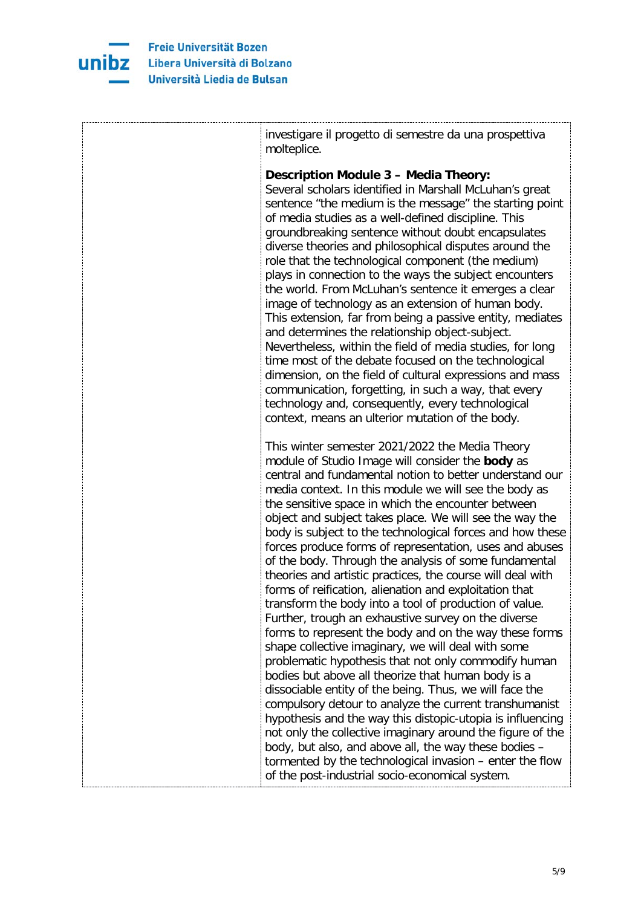

| investigare il progetto di semestre da una prospettiva<br>molteplice.                                                                                                                                                                                                                                                                                                                                                                                                                                                                                                                                                                                                                                                                                                                                                                                                                                                                                                                                                                                                                                                                                                                                                                                                                                                                                                                                                     |
|---------------------------------------------------------------------------------------------------------------------------------------------------------------------------------------------------------------------------------------------------------------------------------------------------------------------------------------------------------------------------------------------------------------------------------------------------------------------------------------------------------------------------------------------------------------------------------------------------------------------------------------------------------------------------------------------------------------------------------------------------------------------------------------------------------------------------------------------------------------------------------------------------------------------------------------------------------------------------------------------------------------------------------------------------------------------------------------------------------------------------------------------------------------------------------------------------------------------------------------------------------------------------------------------------------------------------------------------------------------------------------------------------------------------------|
| <b>Description Module 3 - Media Theory:</b><br>Several scholars identified in Marshall McLuhan's great<br>sentence "the medium is the message" the starting point<br>of media studies as a well-defined discipline. This<br>groundbreaking sentence without doubt encapsulates<br>diverse theories and philosophical disputes around the<br>role that the technological component (the medium)<br>plays in connection to the ways the subject encounters<br>the world. From McLuhan's sentence it emerges a clear<br>image of technology as an extension of human body.<br>This extension, far from being a passive entity, mediates<br>and determines the relationship object-subject.<br>Nevertheless, within the field of media studies, for long<br>time most of the debate focused on the technological<br>dimension, on the field of cultural expressions and mass<br>communication, forgetting, in such a way, that every<br>technology and, consequently, every technological<br>context, means an ulterior mutation of the body.                                                                                                                                                                                                                                                                                                                                                                                 |
| This winter semester 2021/2022 the Media Theory<br>module of Studio Image will consider the body as<br>central and fundamental notion to better understand our<br>media context. In this module we will see the body as<br>the sensitive space in which the encounter between<br>object and subject takes place. We will see the way the<br>body is subject to the technological forces and how these<br>forces produce forms of representation, uses and abuses<br>of the body. Through the analysis of some fundamental<br>theories and artistic practices, the course will deal with<br>forms of reification, alienation and exploitation that<br>transform the body into a tool of production of value.<br>Further, trough an exhaustive survey on the diverse<br>forms to represent the body and on the way these forms<br>shape collective imaginary, we will deal with some<br>problematic hypothesis that not only commodify human<br>bodies but above all theorize that human body is a<br>dissociable entity of the being. Thus, we will face the<br>compulsory detour to analyze the current transhumanist<br>hypothesis and the way this distopic-utopia is influencing<br>not only the collective imaginary around the figure of the<br>body, but also, and above all, the way these bodies -<br>tormented by the technological invasion - enter the flow<br>of the post-industrial socio-economical system. |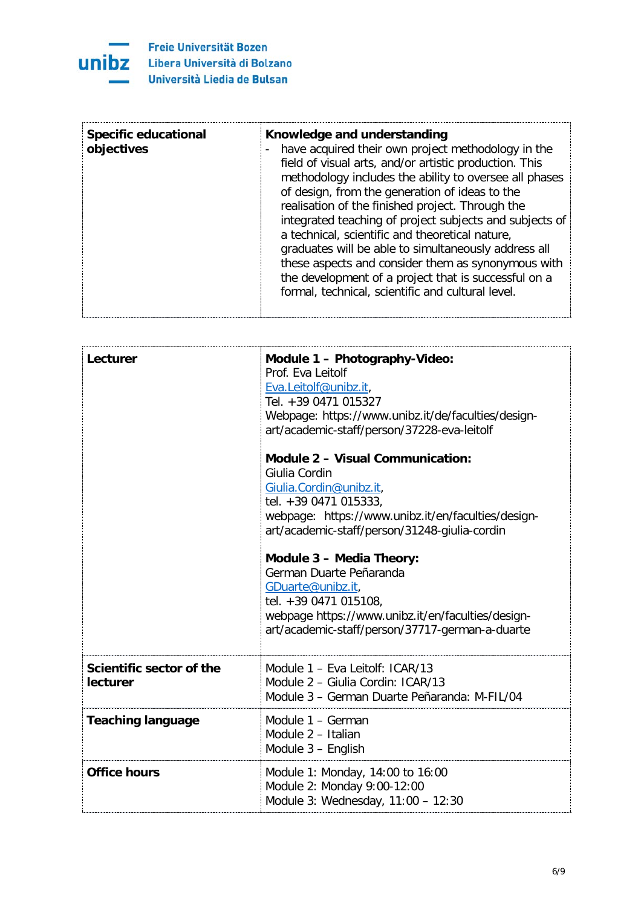

| <b>Specific educational</b><br>Knowledge and understanding<br>have acquired their own project methodology in the<br>objectives<br>field of visual arts, and/or artistic production. This<br>methodology includes the ability to oversee all phases<br>of design, from the generation of ideas to the<br>realisation of the finished project. Through the<br>integrated teaching of project subjects and subjects of<br>a technical, scientific and theoretical nature,<br>graduates will be able to simultaneously address all<br>these aspects and consider them as synonymous with<br>the development of a project that is successful on a<br>formal, technical, scientific and cultural level. |
|---------------------------------------------------------------------------------------------------------------------------------------------------------------------------------------------------------------------------------------------------------------------------------------------------------------------------------------------------------------------------------------------------------------------------------------------------------------------------------------------------------------------------------------------------------------------------------------------------------------------------------------------------------------------------------------------------|
|---------------------------------------------------------------------------------------------------------------------------------------------------------------------------------------------------------------------------------------------------------------------------------------------------------------------------------------------------------------------------------------------------------------------------------------------------------------------------------------------------------------------------------------------------------------------------------------------------------------------------------------------------------------------------------------------------|

| Lecturer                             | Module 1 - Photography-Video:<br>Prof. Eva Leitolf<br>Eva.Leitolf@unibz.it,<br>Tel. +39 0471 015327<br>Webpage: https://www.unibz.it/de/faculties/design-<br>art/academic-staff/person/37228-eva-leitolf            |
|--------------------------------------|---------------------------------------------------------------------------------------------------------------------------------------------------------------------------------------------------------------------|
|                                      | <b>Module 2 - Visual Communication:</b><br>Giulia Cordin<br>Giulia.Cordin@unibz.it,<br>tel. +39 0471 015333,<br>webpage: https://www.unibz.it/en/faculties/design-<br>art/academic-staff/person/31248-giulia-cordin |
|                                      | <b>Module 3 - Media Theory:</b><br>German Duarte Peñaranda<br>GDuarte@unibz.it,<br>tel. +39 0471 015108,<br>webpage https://www.unibz.it/en/faculties/design-<br>art/academic-staff/person/37717-german-a-duarte    |
| Scientific sector of the<br>lecturer | Module 1 - Eva Leitolf: ICAR/13<br>Module 2 - Giulia Cordin: ICAR/13<br>Module 3 - German Duarte Peñaranda: M-FIL/04                                                                                                |
| <b>Teaching language</b>             | Module 1 - German<br>Module 2 - Italian<br>Module 3 - English                                                                                                                                                       |
| <b>Office hours</b>                  | Module 1: Monday, 14:00 to 16:00<br>Module 2: Monday 9:00-12:00<br>Module 3: Wednesday, 11:00 - 12:30                                                                                                               |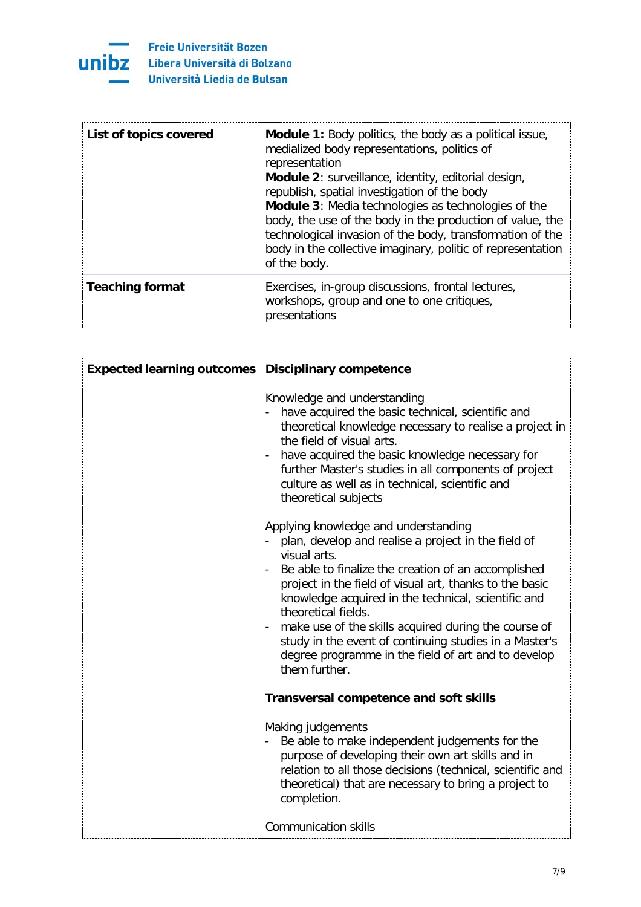

| List of topics covered | <b>Module 1:</b> Body politics, the body as a political issue,<br>medialized body representations, politics of<br>representation<br>Module 2: surveillance, identity, editorial design,<br>republish, spatial investigation of the body<br>Module 3: Media technologies as technologies of the<br>body, the use of the body in the production of value, the<br>technological invasion of the body, transformation of the<br>body in the collective imaginary, politic of representation<br>of the body. |
|------------------------|---------------------------------------------------------------------------------------------------------------------------------------------------------------------------------------------------------------------------------------------------------------------------------------------------------------------------------------------------------------------------------------------------------------------------------------------------------------------------------------------------------|
| <b>Teaching format</b> | Exercises, in-group discussions, frontal lectures,<br>workshops, group and one to one critiques,<br>presentations                                                                                                                                                                                                                                                                                                                                                                                       |

| <b>Expected learning outcomes Disciplinary competence</b> |                                                                                                                                                                                                                                                                                                                                                                                                                                                                                                       |
|-----------------------------------------------------------|-------------------------------------------------------------------------------------------------------------------------------------------------------------------------------------------------------------------------------------------------------------------------------------------------------------------------------------------------------------------------------------------------------------------------------------------------------------------------------------------------------|
|                                                           | Knowledge and understanding<br>have acquired the basic technical, scientific and<br>theoretical knowledge necessary to realise a project in<br>the field of visual arts.<br>have acquired the basic knowledge necessary for<br>further Master's studies in all components of project<br>culture as well as in technical, scientific and<br>theoretical subjects                                                                                                                                       |
|                                                           | Applying knowledge and understanding<br>plan, develop and realise a project in the field of<br>visual arts.<br>Be able to finalize the creation of an accomplished<br>project in the field of visual art, thanks to the basic<br>knowledge acquired in the technical, scientific and<br>theoretical fields.<br>make use of the skills acquired during the course of<br>study in the event of continuing studies in a Master's<br>degree programme in the field of art and to develop<br>them further. |
|                                                           | <b>Transversal competence and soft skills</b>                                                                                                                                                                                                                                                                                                                                                                                                                                                         |
|                                                           | Making judgements<br>Be able to make independent judgements for the<br>purpose of developing their own art skills and in<br>relation to all those decisions (technical, scientific and<br>theoretical) that are necessary to bring a project to<br>completion.                                                                                                                                                                                                                                        |
|                                                           | <b>Communication skills</b>                                                                                                                                                                                                                                                                                                                                                                                                                                                                           |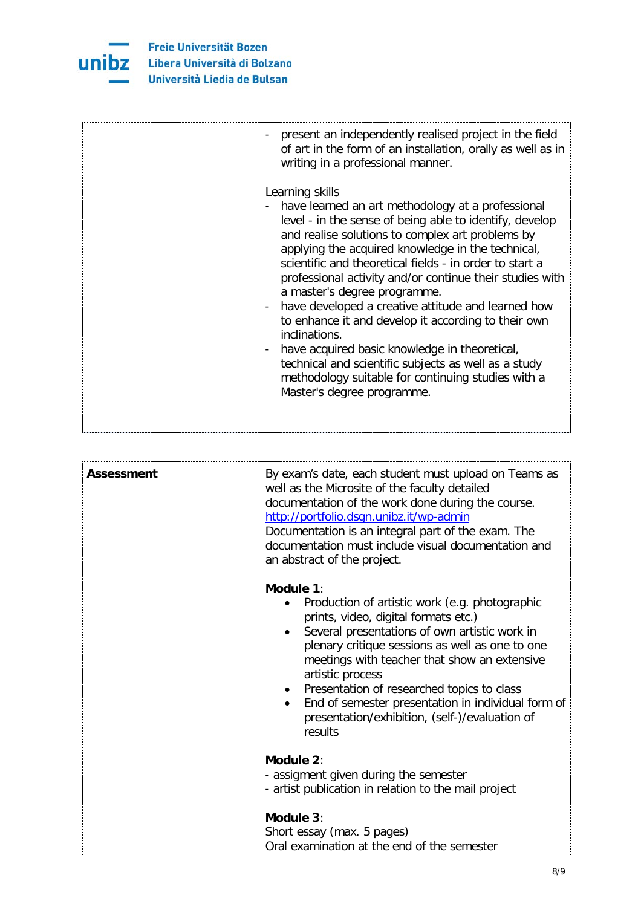

| present an independently realised project in the field<br>of art in the form of an installation, orally as well as in<br>writing in a professional manner.                                                                                                                                                                                                                                                                                                                                                                                                                                                                                                                                                                      |
|---------------------------------------------------------------------------------------------------------------------------------------------------------------------------------------------------------------------------------------------------------------------------------------------------------------------------------------------------------------------------------------------------------------------------------------------------------------------------------------------------------------------------------------------------------------------------------------------------------------------------------------------------------------------------------------------------------------------------------|
| Learning skills<br>have learned an art methodology at a professional<br>level - in the sense of being able to identify, develop<br>and realise solutions to complex art problems by<br>applying the acquired knowledge in the technical,<br>scientific and theoretical fields - in order to start a<br>professional activity and/or continue their studies with<br>a master's degree programme.<br>have developed a creative attitude and learned how<br>-<br>to enhance it and develop it according to their own<br>inclinations.<br>have acquired basic knowledge in theoretical,<br>technical and scientific subjects as well as a study<br>methodology suitable for continuing studies with a<br>Master's degree programme. |

| Assessment | By exam's date, each student must upload on Teams as<br>well as the Microsite of the faculty detailed<br>documentation of the work done during the course.<br>http://portfolio.dsgn.unibz.it/wp-admin<br>Documentation is an integral part of the exam. The<br>documentation must include visual documentation and<br>an abstract of the project.                                                                                              |
|------------|------------------------------------------------------------------------------------------------------------------------------------------------------------------------------------------------------------------------------------------------------------------------------------------------------------------------------------------------------------------------------------------------------------------------------------------------|
|            | Module 1:<br>Production of artistic work (e.g. photographic<br>prints, video, digital formats etc.)<br>Several presentations of own artistic work in<br>plenary critique sessions as well as one to one<br>meetings with teacher that show an extensive<br>artistic process<br>• Presentation of researched topics to class<br>End of semester presentation in individual form of<br>presentation/exhibition, (self-)/evaluation of<br>results |
|            | Module 2:<br>- assigment given during the semester<br>- artist publication in relation to the mail project<br>Module 3:<br>Short essay (max. 5 pages)                                                                                                                                                                                                                                                                                          |
|            | Oral examination at the end of the semester                                                                                                                                                                                                                                                                                                                                                                                                    |